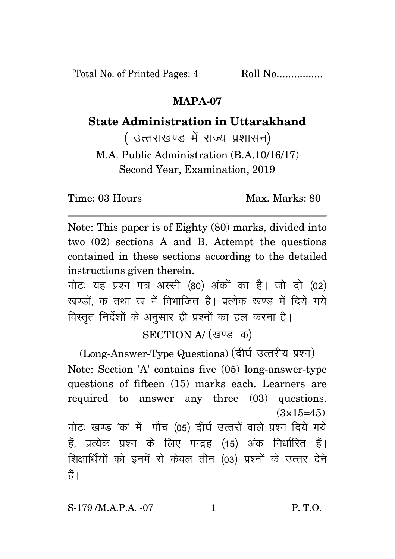[Total No. of Printed Pages: 4 Roll No.................

## **MAPA-07**

## **State Administration in Uttarakhand**

( उत्तराखण्ड में राज्य प्रशासन)

M.A. Public Administration (B.A.10/16/17) Second Year, Examination, 2019

Time: 03 Hours Max. Marks: 80

Note: This paper is of Eighty (80) marks, divided into two (02) sections A and B. Attempt the questions contained in these sections according to the detailed instructions given therein.

नोट: यह प्रश्न पत्र अस्सी (80) अंकों का है। जो दो (02) खण्डों क तथा ख में विभाजित है। प्रत्येक खण्ड में दिये गये विस्तुत निर्देशों के अनुसार ही प्रश्नों का हल करना है।

SECTION A/ (खण्ड-क)

(Long-Answer-Type Questions) (दीर्घ उत्तरीय प्रश्न) Note: Section 'A' contains five (05) long-answer-type questions of fifteen (15) marks each. Learners are required to answer any three (03) questions.  $(3 \times 15 = 45)$ नोटः खण्ड 'क' में पाँच (05) दीर्घ उत्तरों वाले प्रश्न दिये गये हैं. प्रत्येक प्रश्न के लिए पन्द्रह (15) अंक निर्धारित हैं। शिक्षार्थियों को इनमें से केवल तीन (03) प्रश्नों के उत्तर देने हैं ।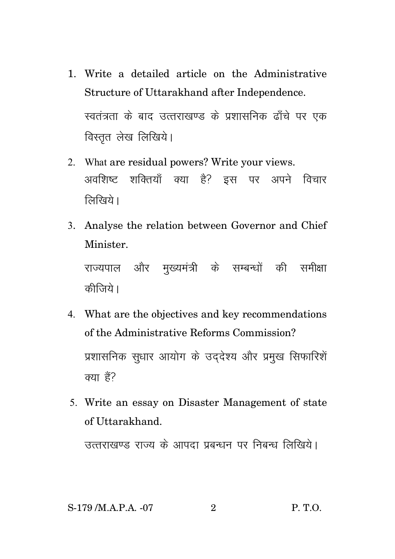- 1. Write a detailed article on the Administrative Structure of Uttarakhand after Independence. स्वतंत्रता के बाद उत्तराखण्ड के प्रशासनिक ढाँचे पर एक विस्तृत लेख लिखिये।
- 2. What are residual powers? Write your views. अवशिष्ट शक्तियाँ क्या है? इस पर अपने विचार लिखिये।
- 3. Analyse the relation between Governor and Chief Minister.

राज्यपाल और मुख्यमंत्री के सम्बन्धों की समीक्षा कीजिये।

- 4. What are the objectives and key recommendations of the Administrative Reforms Commission? प्रशासनिक सुधार आयोग के उददेश्य और प्रमुख सिफारिशें क्या हैं?
- 5. Write an essay on Disaster Management of state of Uttarakhand.

उत्तराखण्ड राज्य के आपदा प्रबन्धन पर निबन्ध लिखिये।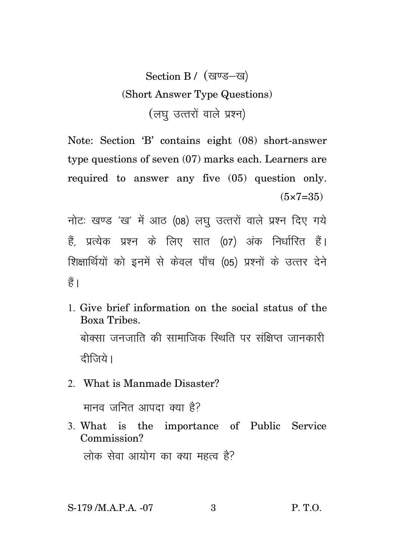## Section B / (खण्ड-ख) (Short Answer Type Questions) (लघु उत्तरों वाले प्रश्न)

Note: Section 'B' contains eight (08) short-answer type questions of seven (07) marks each. Learners are required to answer any five (05) question only.  $(5 \times 7 = 35)$ 

नोटः खण्ड 'ख' में आठ (08) लघु उत्तरों वाले प्रश्न दिए गये हैं. प्रत्येक प्रश्न के लिए सात (07) अंक निर्धारित हैं। शिक्षार्थियों को इनमें से केवल पाँच (05) प्रश्नों के उत्तर देने हैं।

- 1. Give brief information on the social status of the Boxa Tribes. बोक्सा जनजाति की सामाजिक स्थिति पर संक्षिप्त जानकारी दीजिये।
- 2. What is Manmade Disaster?

मानव जनित आपदा क्या है?

3. What is the importance of Public Service Commission? लोक सेवा आयोग का क्या महत्व है?